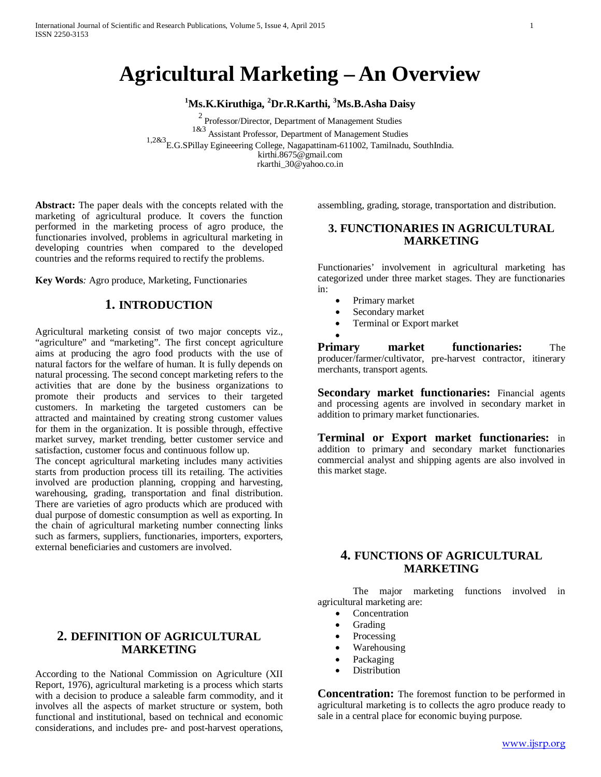# **Agricultural Marketing – An Overview**

## **1 Ms.K.Kiruthiga, <sup>2</sup> Dr.R.Karthi, <sup>3</sup> Ms.B.Asha Daisy**

 $^{2}$  Professor/Director, Department of Management Studies  $^{1\&3}$  Assistant Professor, Department of Management Studies 1,2&3 E.G.SPillay Egineeering College, Nagapattinam-611002, Tamilnadu, SouthIndia. kirthi.8675@gmail.com rkarthi\_30@yahoo.co.in

**Abstract:** The paper deals with the concepts related with the marketing of agricultural produce. It covers the function performed in the marketing process of agro produce, the functionaries involved, problems in agricultural marketing in developing countries when compared to the developed countries and the reforms required to rectify the problems.

**Key Words***:* Agro produce, Marketing, Functionaries

#### **1. INTRODUCTION**

Agricultural marketing consist of two major concepts viz., "agriculture" and "marketing". The first concept agriculture aims at producing the agro food products with the use of natural factors for the welfare of human. It is fully depends on natural processing. The second concept marketing refers to the activities that are done by the business organizations to promote their products and services to their targeted customers. In marketing the targeted customers can be attracted and maintained by creating strong customer values for them in the organization. It is possible through, effective market survey, market trending, better customer service and satisfaction, customer focus and continuous follow up.

The concept agricultural marketing includes many activities starts from production process till its retailing. The activities involved are production planning, cropping and harvesting, warehousing, grading, transportation and final distribution. There are varieties of agro products which are produced with dual purpose of domestic consumption as well as exporting. In the chain of agricultural marketing number connecting links such as farmers, suppliers, functionaries, importers, exporters, external beneficiaries and customers are involved.

assembling, grading, storage, transportation and distribution.

#### **3. FUNCTIONARIES IN AGRICULTURAL MARKETING**

Functionaries' involvement in agricultural marketing has categorized under three market stages. They are functionaries in:

- Primary market
- Secondary market
- Terminal or Export market
	-

•

**Primary market functionaries:** The producer/farmer/cultivator, pre-harvest contractor, itinerary merchants, transport agents.

**Secondary market functionaries:** Financial agents and processing agents are involved in secondary market in addition to primary market functionaries.

**Terminal or Export market functionaries:** in addition to primary and secondary market functionaries commercial analyst and shipping agents are also involved in this market stage.

## **4. FUNCTIONS OF AGRICULTURAL MARKETING**

The major marketing functions involved in agricultural marketing are:

- **Concentration**
- Grading
- **Processing**
- Warehousing
- Packaging
- **Distribution**

**Concentration:** The foremost function to be performed in agricultural marketing is to collects the agro produce ready to sale in a central place for economic buying purpose.

## **2. DEFINITION OF AGRICULTURAL MARKETING**

According to the National Commission on Agriculture (XII Report, 1976), agricultural marketing is a process which starts with a decision to produce a saleable farm commodity, and it involves all the aspects of market structure or system, both functional and institutional, based on technical and economic considerations, and includes pre- and post-harvest operations,